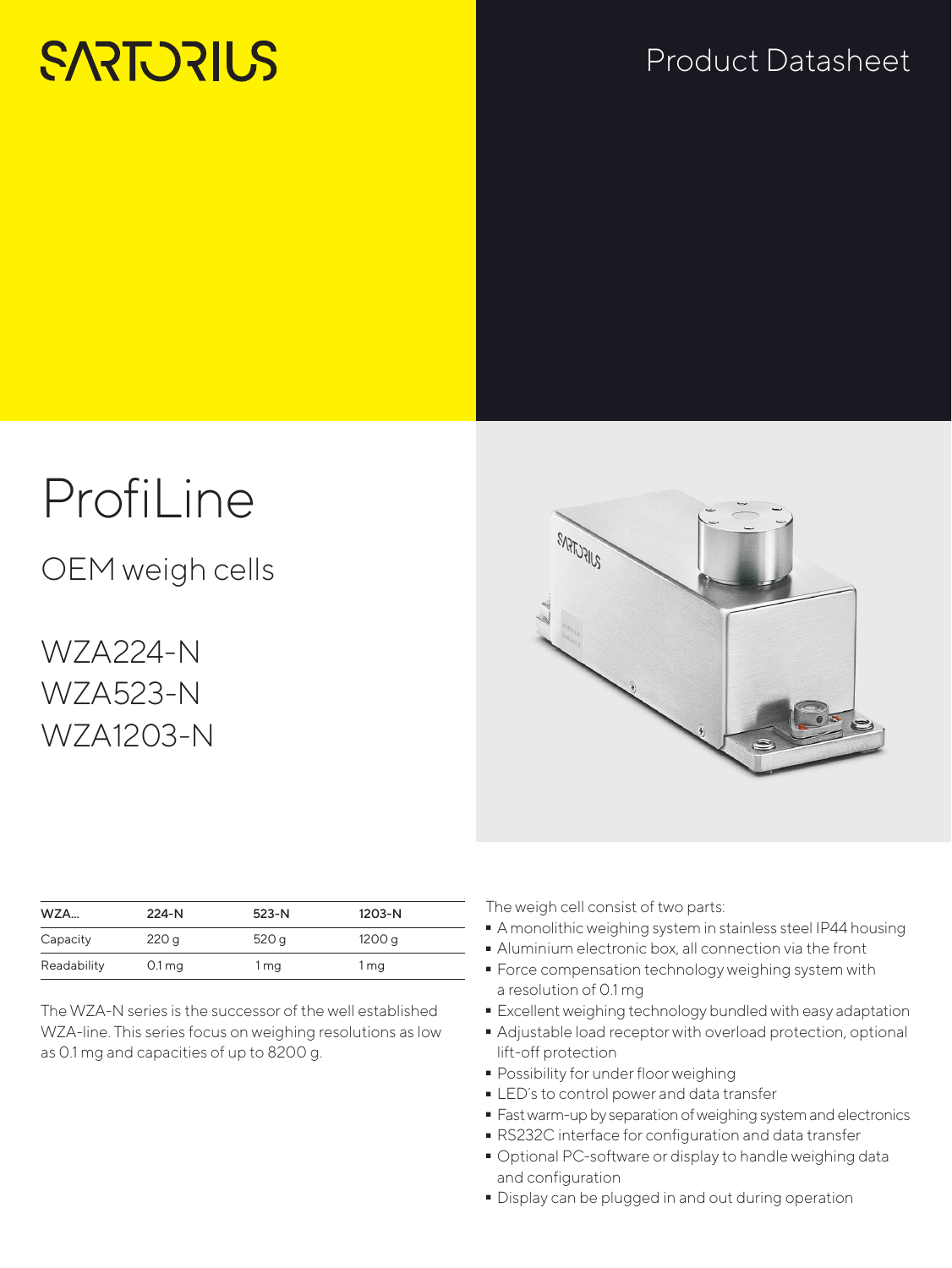# **SARTORILS**

### Product Datasheet

# ProfiLine

OEM weigh cells

WZA224-N WZA523-N WZA1203-N

| WZA         | $224-N$             | 523-N | 1203-N |  |
|-------------|---------------------|-------|--------|--|
| Capacity    | 220g                | 520q  | 1200 g |  |
| Readability | $0.1 \,\mathrm{mg}$ | 1 mg  | 1 mg   |  |

The WZA-N series is the successor of the well established WZA-line. This series focus on weighing resolutions as low as 0.1 mg and capacities of up to 8200 g.



The weigh cell consist of two parts:

- A monolithic weighing system in stainless steel IP44 housing<br>• Aluminium electronic box, all connection via the front
- 
- Aluminium electronic box, all connection via the front - Force compensation technology weighing system with a resolution of 0.1 mg
- 
- Excellent weighing technology bundled with easy adaptation - Adjustable load receptor with overload protection, optional lift-off protection
- 
- Possibility for under floor weighing<br>• LED's to control power and data transfer
- LED´s to control power and data transfer<br>• Fast warm-up by separation of weighing sy:
- Fast warm-up by separation of weighing system and electronics<br>■ RS232C interface for configuration and data transfer
- RS232C interface for configuration and data transfer - Optional PC-software or display to handle weighing data and configuration
- Display can be plugged in and out during operation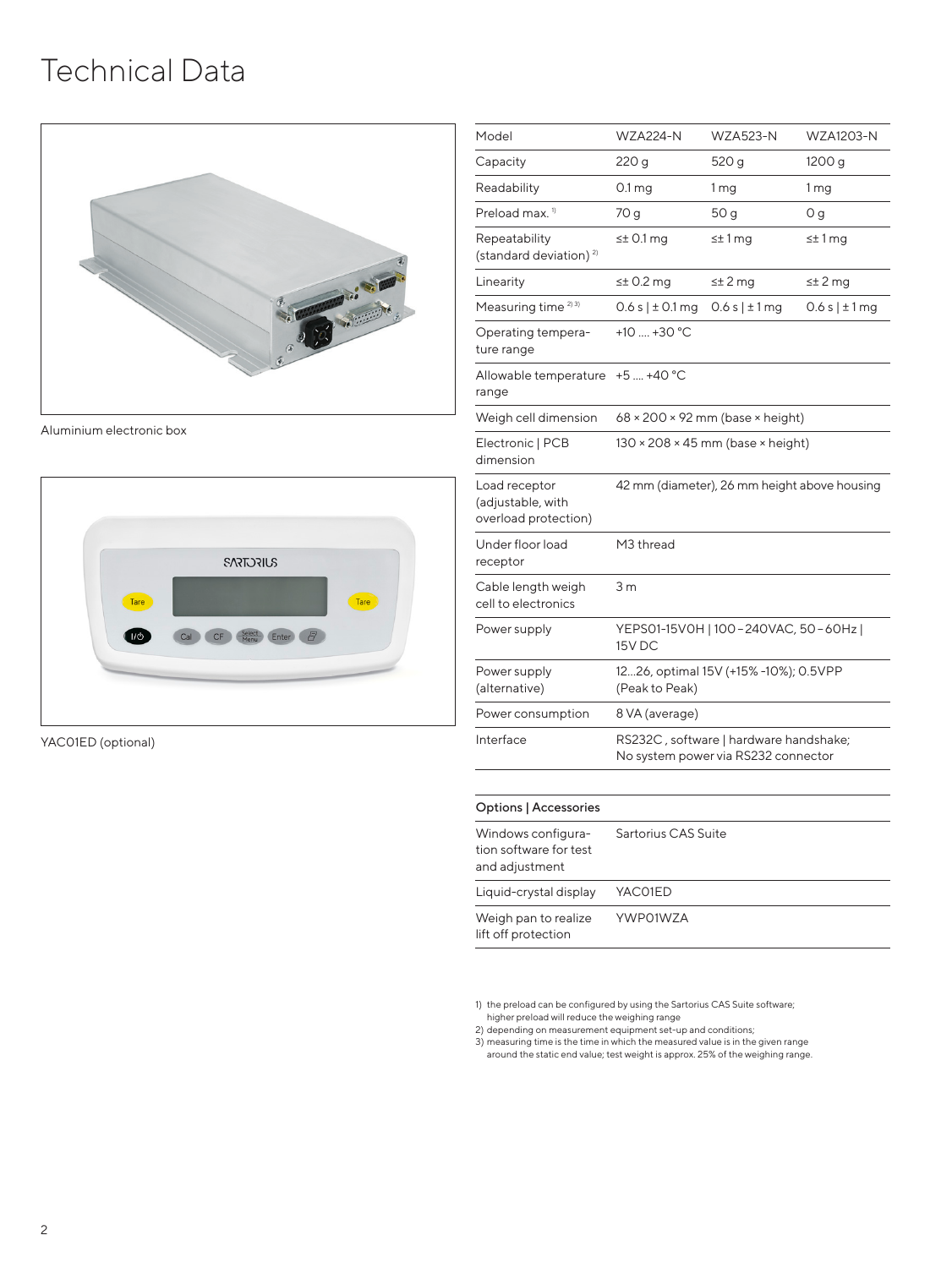### Technical Data



Aluminium electronic box



YAC01ED (optional)

| Model                                                      | <b>WZA224-N</b>                                                               | <b>WZA523-N</b> | <b>WZA1203-N</b> |  |
|------------------------------------------------------------|-------------------------------------------------------------------------------|-----------------|------------------|--|
| Capacity                                                   | 220 g                                                                         | 520 g           | 1200 g           |  |
| Readability                                                | 0.1 <sub>mg</sub>                                                             | 1 <sub>mg</sub> | 1 <sub>mg</sub>  |  |
| Preload max. <sup>1)</sup>                                 | 70 g                                                                          | 50 g            | 0 g              |  |
| Repeatability<br>(standard deviation) <sup>2)</sup>        | $\leq$ 0.1 mg                                                                 | $\leq$ 1 mg     | $\leq$ 1 mg      |  |
| Linearity                                                  | $\leq$ 0.2 mg                                                                 | $\leq$ ± 2 mg   | $\leq$ 2 mg      |  |
| Measuring time <sup>2)3)</sup>                             | 0.6 s   ± 0.1 mg                                                              | 0.6 s   ± 1 mg  | 0.6 s   ± 1 mg   |  |
| Operating tempera-<br>ture range                           | +10 $\dots$ +30 °C                                                            |                 |                  |  |
| Allowable temperature<br>range                             | $+5$ +40 °C                                                                   |                 |                  |  |
| Weigh cell dimension                                       | $68 \times 200 \times 92$ mm (base $\times$ height)                           |                 |                  |  |
| Electronic   PCB<br>dimension                              | $130 \times 208 \times 45$ mm (base $\times$ height)                          |                 |                  |  |
| Load receptor<br>(adjustable, with<br>overload protection) | 42 mm (diameter), 26 mm height above housing                                  |                 |                  |  |
| Under floor load<br>receptor                               | M3 thread                                                                     |                 |                  |  |
| Cable length weigh<br>cell to electronics                  | 3 <sub>m</sub>                                                                |                 |                  |  |
| Power supply                                               | YEPS01-15V0H   100-240VAC, 50-60Hz  <br>15V DC                                |                 |                  |  |
| Power supply<br>(alternative)                              | 1226, optimal 15V (+15% -10%); 0.5VPP<br>(Peak to Peak)                       |                 |                  |  |
| Power consumption                                          | 8 VA (average)                                                                |                 |                  |  |
| Interface                                                  | RS232C, software   hardware handshake;<br>No system power via RS232 connector |                 |                  |  |
|                                                            |                                                                               |                 |                  |  |

| Windows configura-<br>tion software for test<br>and adjustment | Sartorius CAS Suite |
|----------------------------------------------------------------|---------------------|
| Liquid-crystal display                                         | YAC01ED             |
| Weigh pan to realize<br>lift off protection                    | YWP01W7A            |

1) the preload can be configured by using the Sartorius CAS Suite software; higher preload will reduce the weighing range

2) depending on measurement equipment set-up and conditions; 3) measuring time is the time in which the measured value is in the given range around the static end value; test weight is approx. 25% of the weighing range.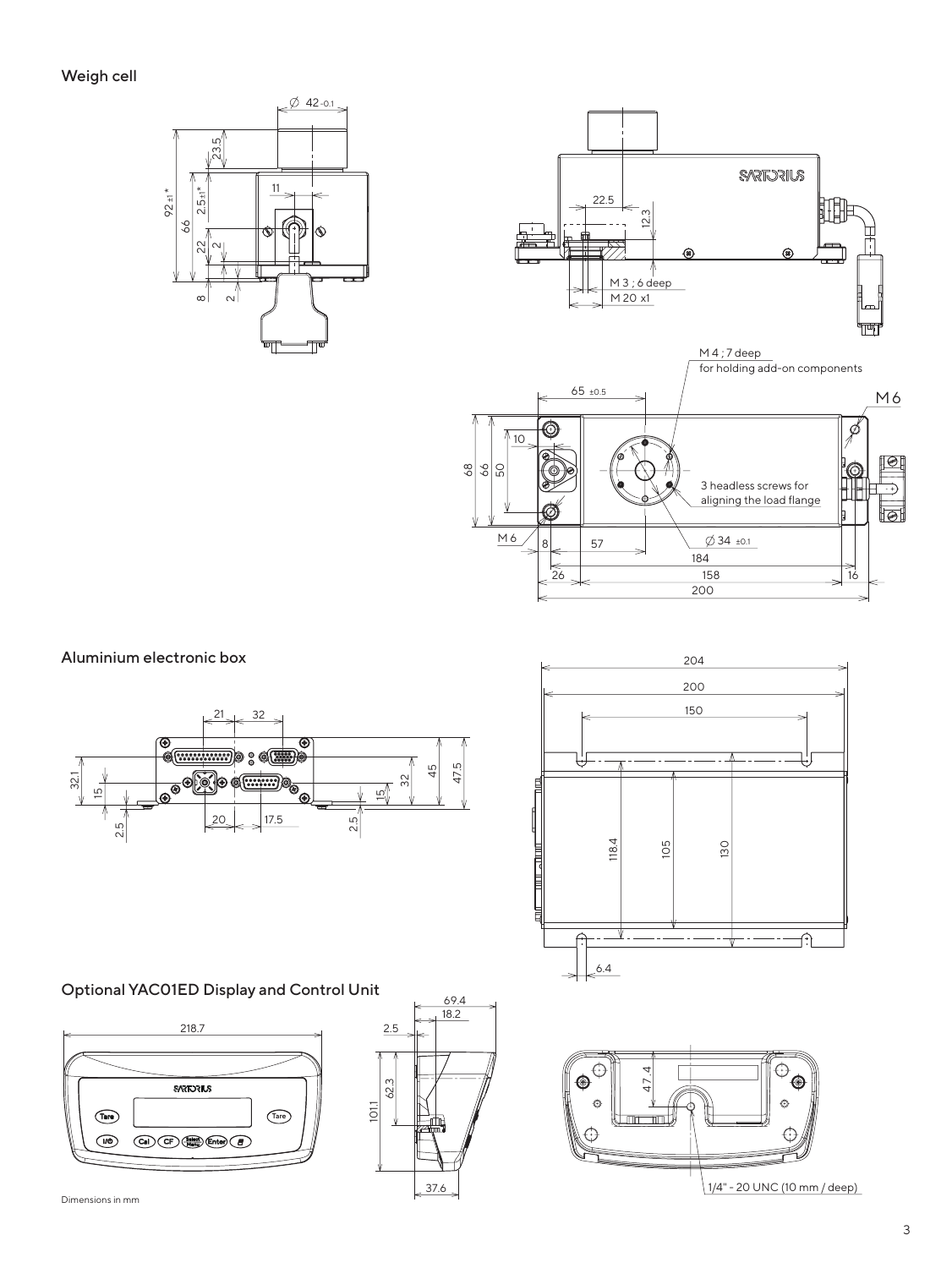



#### Aluminium electronic box





#### Optional YAC01ED Display and Control Unit





69.4 101.1 62.3 18.2 2.5 37.6